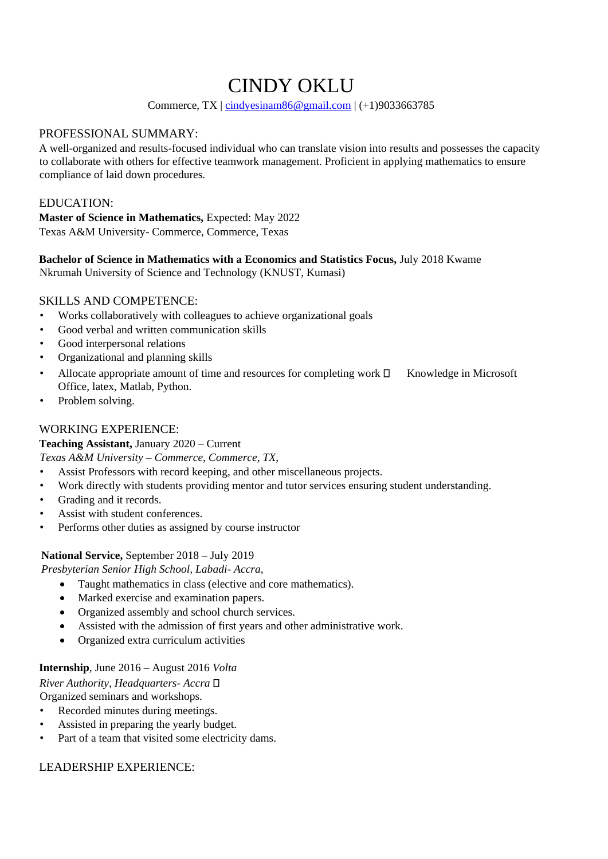# CINDY OKLU

Commerce,  $TX \mid \frac{cindy \cdot \text{e} \cdot \text{e} \cdot \text{e} \cdot \text{e} \cdot \text{e} \cdot \text{e} \cdot \text{e} \cdot \text{e} \cdot \text{e} \cdot \text{e} \cdot \text{e} \cdot \text{e} \cdot \text{e} \cdot \text{e} \cdot \text{e} \cdot \text{e} \cdot \text{e} \cdot \text{e} \cdot \text{e} \cdot \text{e} \cdot \text{e} \cdot \text{e} \cdot \text{e} \cdot \text{e} \cdot \text{e} \cdot \text{e} \cdot \text{e} \cdot \text{e} \cdot \text{$ 

## PROFESSIONAL SUMMARY:

A well-organized and results-focused individual who can translate vision into results and possesses the capacity to collaborate with others for effective teamwork management. Proficient in applying mathematics to ensure compliance of laid down procedures.

## EDUCATION:

**Master of Science in Mathematics,** Expected: May 2022 Texas A&M University- Commerce, Commerce, Texas

# **Bachelor of Science in Mathematics with a Economics and Statistics Focus,** July 2018 Kwame

Nkrumah University of Science and Technology (KNUST, Kumasi)

## SKILLS AND COMPETENCE:

- Works collaboratively with colleagues to achieve organizational goals
- Good verbal and written communication skills
- Good interpersonal relations
- Organizational and planning skills
- Allocate appropriate amount of time and resources for completing work  $\Box$  Knowledge in Microsoft Office, latex, Matlab, Python.
- Problem solving.

# WORKING EXPERIENCE:

**Teaching Assistant,** January 2020 – Current

*Texas A&M University – Commerce*, *Commerce, TX*,

- Assist Professors with record keeping, and other miscellaneous projects.
- Work directly with students providing mentor and tutor services ensuring student understanding.
- Grading and it records.
- Assist with student conferences.
- Performs other duties as assigned by course instructor

## **National Service,** September 2018 – July 2019

*Presbyterian Senior High School, Labadi- Accra*,

- Taught mathematics in class (elective and core mathematics).
- Marked exercise and examination papers.
- Organized assembly and school church services.
- Assisted with the admission of first years and other administrative work.
- Organized extra curriculum activities

#### **Internship**, June 2016 – August 2016 *Volta*

*River Authority, Headquarters- Accra* Organized seminars and workshops.

- Recorded minutes during meetings.
- Assisted in preparing the yearly budget.
- Part of a team that visited some electricity dams.

## LEADERSHIP EXPERIENCE: